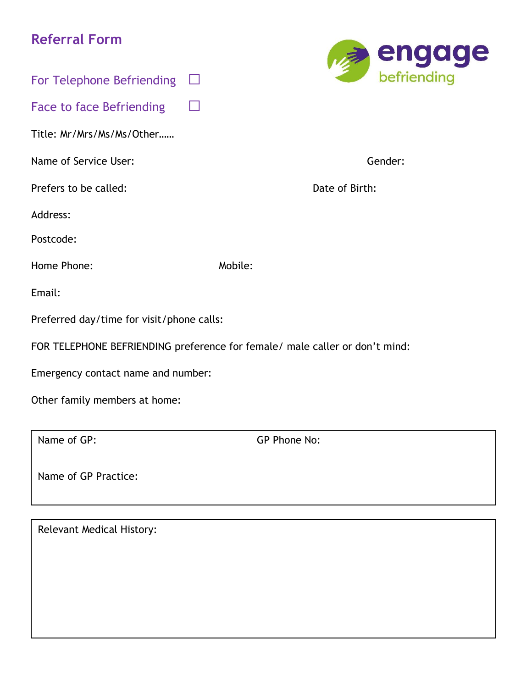# **Referral Form**



| For Telephone Befriending                                                   |         |                |
|-----------------------------------------------------------------------------|---------|----------------|
| <b>Face to face Befriending</b>                                             |         |                |
| Title: Mr/Mrs/Ms/Ms/Other                                                   |         |                |
| Name of Service User:                                                       |         | Gender:        |
| Prefers to be called:                                                       |         | Date of Birth: |
| Address:                                                                    |         |                |
| Postcode:                                                                   |         |                |
| Home Phone:                                                                 | Mobile: |                |
| Email:                                                                      |         |                |
| Preferred day/time for visit/phone calls:                                   |         |                |
| FOR TELEPHONE BEFRIENDING preference for female/ male caller or don't mind: |         |                |
| Emergency contact name and number:                                          |         |                |
| Other family members at home:                                               |         |                |

Name of GP: GP Phone No:

Name of GP Practice:

Relevant Medical History: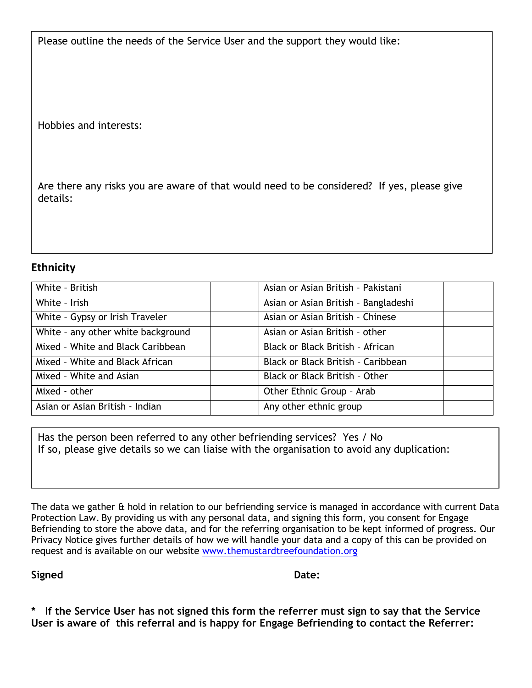Please outline the needs of the Service User and the support they would like:

Hobbies and interests:

Are there any risks you are aware of that would need to be considered? If yes, please give details:

# **Ethnicity**

| White - British                    | Asian or Asian British - Pakistani   |
|------------------------------------|--------------------------------------|
| White - Irish                      | Asian or Asian British - Bangladeshi |
| White - Gypsy or Irish Traveler    | Asian or Asian British - Chinese     |
| White - any other white background | Asian or Asian British - other       |
| Mixed - White and Black Caribbean  | Black or Black British - African     |
| Mixed - White and Black African    | Black or Black British - Caribbean   |
| Mixed - White and Asian            | Black or Black British - Other       |
| Mixed - other                      | Other Ethnic Group - Arab            |
| Asian or Asian British - Indian    | Any other ethnic group               |

Has the person been referred to any other befriending services? Yes / No If so, please give details so we can liaise with the organisation to avoid any duplication:

The data we gather & hold in relation to our befriending service is managed in accordance with current Data Protection Law. By providing us with any personal data, and signing this form, you consent for Engage Befriending to store the above data, and for the referring organisation to be kept informed of progress. Our Privacy Notice gives further details of how we will handle your data and a copy of this can be provided on request and is available on our website [www.themustardtreefoundation.org](http://www.themustardtreefoundation.org/)

Signed Date:

**\* If the Service User has not signed this form the referrer must sign to say that the Service User is aware of this referral and is happy for Engage Befriending to contact the Referrer:**